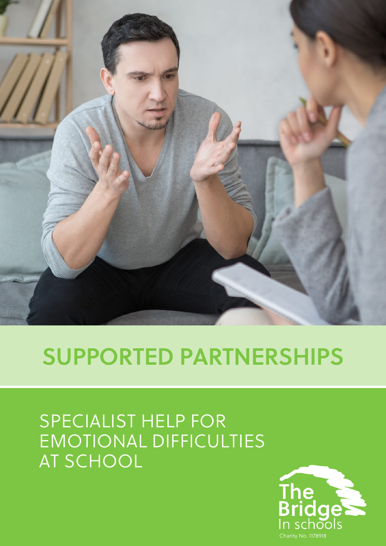

# **SUPPORTED PARTNERSHIPS**

# SPECIALIST HELP FOR EMOTIONAL DIFFICULTIES AT SCHOOL

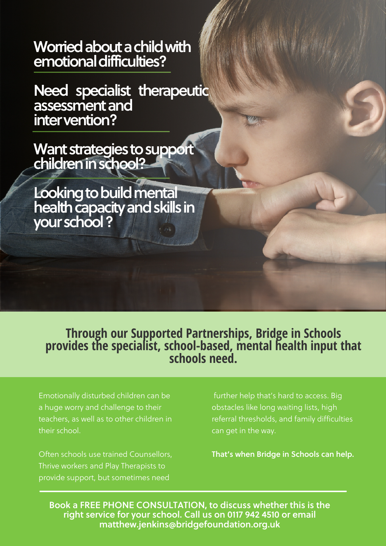Worried about a child with **emotionaldifficulties?**

**Need specialist therapeutic assessmentand intervention?**

Want strategies to support **childreninschool?**

**Looking to build mental** health capacity and skills in **yourschool?**

**Through our Supported Partnerships, Bridge in Schools provides the specialist, school-based, mental health input that schools need.**

Emotionally disturbed children can be a huge worry and challenge to their teachers, as well as to other children in their school.

Often schools use trained Counsellors, Thrive workers and Play Therapists to provide support, but sometimes need

further help that's hard to access. Big obstacles like long waiting lists, high referral thresholds, and family difficulties can get in the way.

**That's when Bridge in Schools can help.**

**Book a FREE PHONE CONSULTATION, to discuss whether this is the right service for your school. Call us on 0117 942 4510 or email [matthew.jenkins@bridgefoundation.org.uk](mailto:matthew.jenkins@bridgefoundation.org.uk)**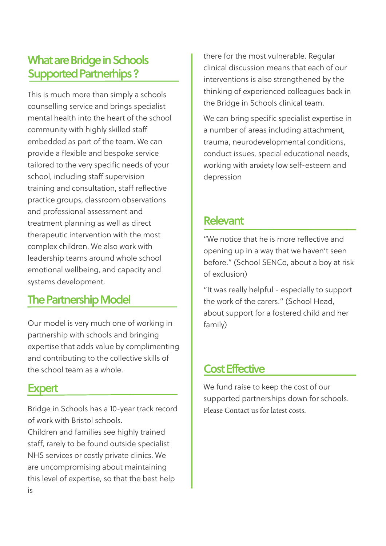## **What are Bridge in Schools Supported Partnerhips ?**

This is much more than simply a schools counselling service and brings specialist mental health into the heart of the school community with highly skilled staff embedded as part of the team. We can provide a flexible and bespoke service tailored to the very specific needs of your school, including staff supervision training and consultation, staff reflective practice groups, classroom observations and professional assessment and treatment planning as well as direct therapeutic intervention with the most complex children. We also work with leadership teams around whole school emotional wellbeing, and capacity and systems development.

## **The Partnership Model**

Our model is very much one of working in partnership with schools and bringing expertise that adds value by complimenting and contributing to the collective skills of the school team as a whole.

#### **Expert**

Bridge in Schools has a 10-year track record of work with Bristol schools.

Children and families see highly trained staff, rarely to be found outside specialist NHS services or costly private clinics. We are uncompromising about maintaining this level of expertise, so that the best help is

there for the most vulnerable. Regular clinical discussion means that each of our interventions is also strengthened by the thinking of experienced colleagues back in the Bridge in Schools clinical team.

We can bring specific specialist expertise in a number of areas including attachment, trauma, neurodevelopmental conditions, conduct issues, special educational needs, working with anxiety low self-esteem and depression

#### **Relevant**

"We notice that he is more reflective and opening up in a way that we haven't seen before." (School SENCo, about a boy at risk of exclusion)

"It was really helpful - especially to support the work of the carers." (School Head, about support for a fostered child and her family)

#### **Cost Effective**

We fund raise to keep the cost of our supported partnerships down for schools. Please Contact us for latest costs.